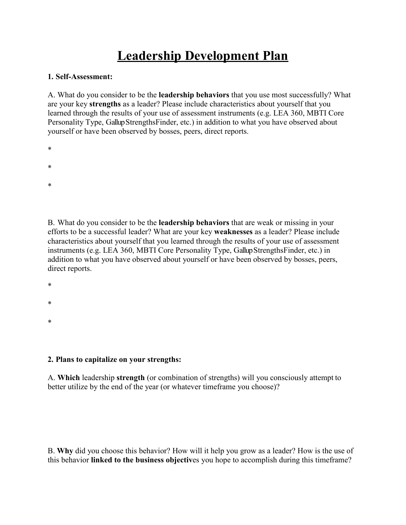## **Leadership Development Plan**

## **1. Self-Assessment:**

A. What do you consider to be the **leadership behaviors** that you use most successfully? What are your key **strengths** as a leader? Please include characteristics about yourself that you learned through the results of your use of assessment instruments (e.g. LEA 360, MBTI Core Personality Type, Gallup StrengthsFinder, etc.) in addition to what you have observed about yourself or have been observed by bosses, peers, direct reports.

- \*
- 
- \*
- \*

B. What do you consider to be the **leadership behaviors** that are weak or missing in your efforts to be a successful leader? What are your key **weaknesses** as a leader? Please include characteristics about yourself that you learned through the results of your use of assessment instruments (e.g. LEA 360, MBTI Core Personality Type, Gallup StrengthsFinder, etc.) in addition to what you have observed about yourself or have been observed by bosses, peers, direct reports.

- \*
- \*
- 
- \*

## **2. Plans to capitalize on your strengths:**

A. **Which** leadership **strength** (or combination of strengths) will you consciously attempt to better utilize by the end of the year (or whatever timeframe you choose)?

B. **Why** did you choose this behavior? How will it help you grow as a leader? How is the use of this behavior **linked to the business objectiv**es you hope to accomplish during this timeframe?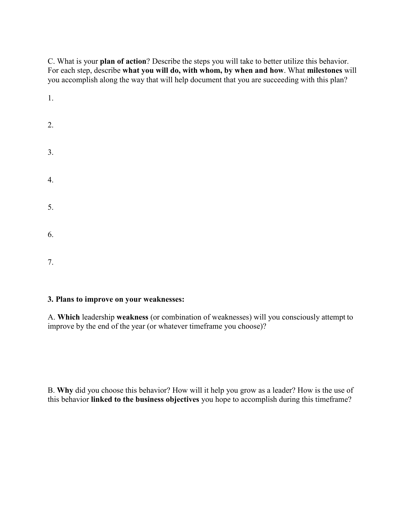C. What is your **plan of action**? Describe the steps you will take to better utilize this behavior. For each step, describe **what you will do, with whom, by when and how**. What **milestones** will you accomplish along the way that will help document that you are succeeding with this plan?

| 1.               |  |  |  |
|------------------|--|--|--|
| 2.               |  |  |  |
| 3.               |  |  |  |
| $\overline{4}$ . |  |  |  |
| 5.               |  |  |  |
| 6.               |  |  |  |
| 7.               |  |  |  |

## **3. Plans to improve on your weaknesses:**

A. **Which** leadership **weakness** (or combination of weaknesses) will you consciously attempt to improve by the end of the year (or whatever timeframe you choose)?

B. **Why** did you choose this behavior? How will it help you grow as a leader? How is the use of this behavior **linked to the business objectives** you hope to accomplish during this timeframe?